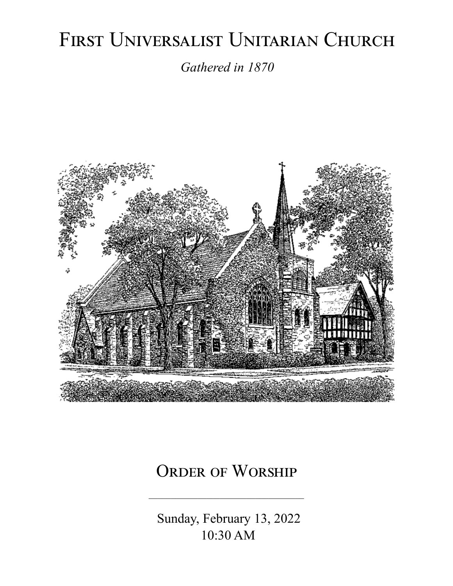# FIRST UNIVERSALIST UNITARIAN CHURCH

*Gathered in 1870*



# ORDER OF WORSHIP

 Sunday, February 13, 2022 10:30 AM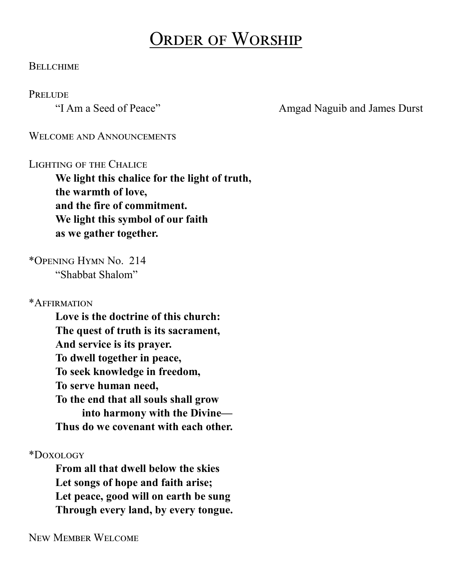# Order of Worship

#### **BELLCHIME**

#### **PRELUDE**

"I Am a Seed of Peace" Amgad Naguib and James Durst

WELCOME AND ANNOUNCEMENTS

#### LIGHTING OF THE CHALICE

**We light this chalice for the light of truth, the warmth of love, and the fire of commitment. We light this symbol of our faith as we gather together.**

\*Opening Hymn No. 214 "Shabbat Shalom"

\*Affirmation

**Love is the doctrine of this church: The quest of truth is its sacrament, And service is its prayer. To dwell together in peace, To seek knowledge in freedom, To serve human need, To the end that all souls shall grow into harmony with the Divine— Thus do we covenant with each other.**

\*Doxology

**From all that dwell below the skies Let songs of hope and faith arise; Let peace, good will on earth be sung Through every land, by every tongue.**

New Member Welcome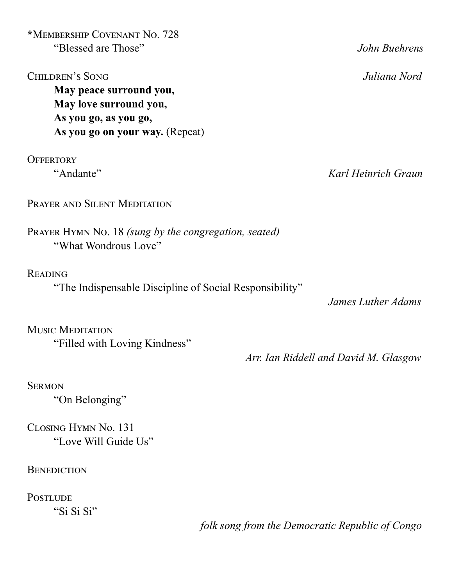**\***Membership Covenant No. 728 "Blessed are Those" *John Buehrens*

Children's Song *Juliana Nord* **May peace surround you, May love surround you, As you go, as you go, As you go on your way.** (Repeat)

**OFFERTORY** 

PRAYER AND SILENT MEDITATION

Prayer Hymn No. 18 *(sung by the congregation, seated)* "What Wondrous Love"

Reading

"The Indispensable Discipline of Social Responsibility"

 *James Luther Adams*

Music Meditation "Filled with Loving Kindness"

 *Arr. Ian Riddell and David M. Glasgow*

**SERMON** "On Belonging"

Closing Hymn No. 131 "Love Will Guide Us"

**BENEDICTION** 

**POSTLUDE** "Si Si Si"

*folk song from the Democratic Republic of Congo*

"Andante" *Karl Heinrich Graun*